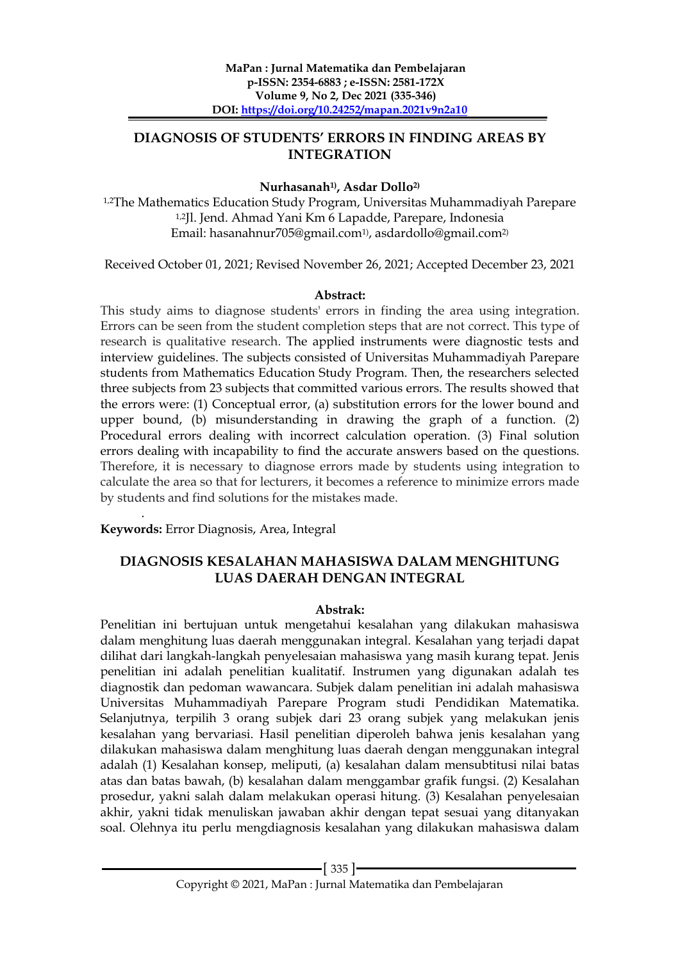# **DIAGNOSIS OF STUDENTS' ERRORS IN FINDING AREAS BY INTEGRATION**

### **Nurhasanah1), Asdar Dollo2)**

1,2The Mathematics Education Study Program, Universitas Muhammadiyah Parepare 1,2Jl. Jend. Ahmad Yani Km 6 Lapadde, Parepare, Indonesia Email: hasanahnur705@gmail.com1) , asdardollo@gmail.com2)

Received October 01, 2021; Revised November 26, 2021; Accepted December 23, 2021

#### **Abstract:**

This study aims to diagnose students' errors in finding the area using integration. Errors can be seen from the student completion steps that are not correct. This type of research is qualitative research. The applied instruments were diagnostic tests and interview guidelines. The subjects consisted of Universitas Muhammadiyah Parepare students from Mathematics Education Study Program. Then, the researchers selected three subjects from 23 subjects that committed various errors. The results showed that the errors were: (1) Conceptual error, (a) substitution errors for the lower bound and upper bound, (b) misunderstanding in drawing the graph of a function. (2) Procedural errors dealing with incorrect calculation operation. (3) Final solution errors dealing with incapability to find the accurate answers based on the questions. Therefore, it is necessary to diagnose errors made by students using integration to calculate the area so that for lecturers, it becomes a reference to minimize errors made by students and find solutions for the mistakes made.

. **Keywords:** Error Diagnosis, Area, Integral

## **DIAGNOSIS KESALAHAN MAHASISWA DALAM MENGHITUNG LUAS DAERAH DENGAN INTEGRAL**

#### **Abstrak:**

Penelitian ini bertujuan untuk mengetahui kesalahan yang dilakukan mahasiswa dalam menghitung luas daerah menggunakan integral. Kesalahan yang terjadi dapat dilihat dari langkah-langkah penyelesaian mahasiswa yang masih kurang tepat. Jenis penelitian ini adalah penelitian kualitatif. Instrumen yang digunakan adalah tes diagnostik dan pedoman wawancara. Subjek dalam penelitian ini adalah mahasiswa Universitas Muhammadiyah Parepare Program studi Pendidikan Matematika. Selanjutnya, terpilih 3 orang subjek dari 23 orang subjek yang melakukan jenis kesalahan yang bervariasi. Hasil penelitian diperoleh bahwa jenis kesalahan yang dilakukan mahasiswa dalam menghitung luas daerah dengan menggunakan integral adalah (1) Kesalahan konsep, meliputi, (a) kesalahan dalam mensubtitusi nilai batas atas dan batas bawah, (b) kesalahan dalam menggambar grafik fungsi. (2) Kesalahan prosedur, yakni salah dalam melakukan operasi hitung. (3) Kesalahan penyelesaian akhir, yakni tidak menuliskan jawaban akhir dengan tepat sesuai yang ditanyakan soal. Olehnya itu perlu mengdiagnosis kesalahan yang dilakukan mahasiswa dalam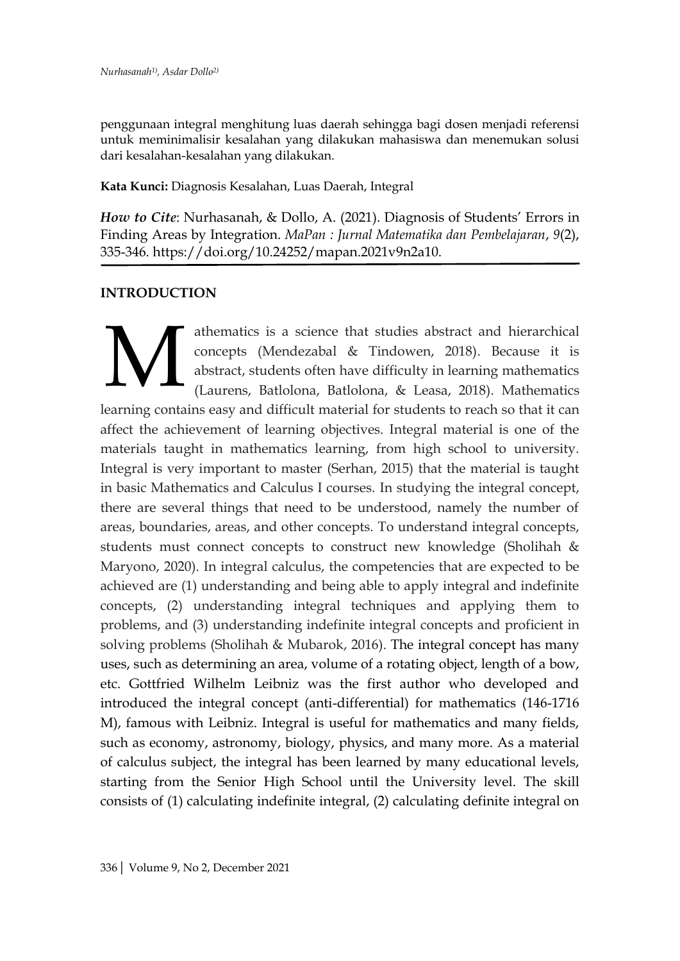penggunaan integral menghitung luas daerah sehingga bagi dosen menjadi referensi untuk meminimalisir kesalahan yang dilakukan mahasiswa dan menemukan solusi dari kesalahan-kesalahan yang dilakukan.

**Kata Kunci:** Diagnosis Kesalahan, Luas Daerah, Integral

*How to Cite*: Nurhasanah, & Dollo, A. (2021). Diagnosis of Students' Errors in Finding Areas by Integration. *MaPan : Jurnal Matematika dan Pembelajaran*, *9*(2), 335-346. https://doi.org/10.24252/mapan.2021v9n2a10.

### **INTRODUCTION**

athematics is a science that studies abstract and hierarchical concepts (Mendezabal & Tindowen, 2018). Because it is abstract, students often have difficulty in learning mathematics (Laurens, Batlolona, Batlolona, & Leasa, 2018). Mathematics learning contains easy and difficult material for students to reach so that it can affect the achievement of learning objectives. Integral material is one of the materials taught in mathematics learning, from high school to university. Integral is very important to master (Serhan, 2015) that the material is taught in basic Mathematics and Calculus I courses. In studying the integral concept, there are several things that need to be understood, namely the number of areas, boundaries, areas, and other concepts. To understand integral concepts, students must connect concepts to construct new knowledge (Sholihah & Maryono, 2020). In integral calculus, the competencies that are expected to be achieved are (1) understanding and being able to apply integral and indefinite concepts, (2) understanding integral techniques and applying them to problems, and (3) understanding indefinite integral concepts and proficient in solving problems (Sholihah & Mubarok, 2016). The integral concept has many uses, such as determining an area, volume of a rotating object, length of a bow, etc. Gottfried Wilhelm Leibniz was the first author who developed and introduced the integral concept (anti-differential) for mathematics (146-1716 M), famous with Leibniz. Integral is useful for mathematics and many fields, such as economy, astronomy, biology, physics, and many more. As a material of calculus subject, the integral has been learned by many educational levels, starting from the Senior High School until the University level. The skill consists of (1) calculating indefinite integral, (2) calculating definite integral on M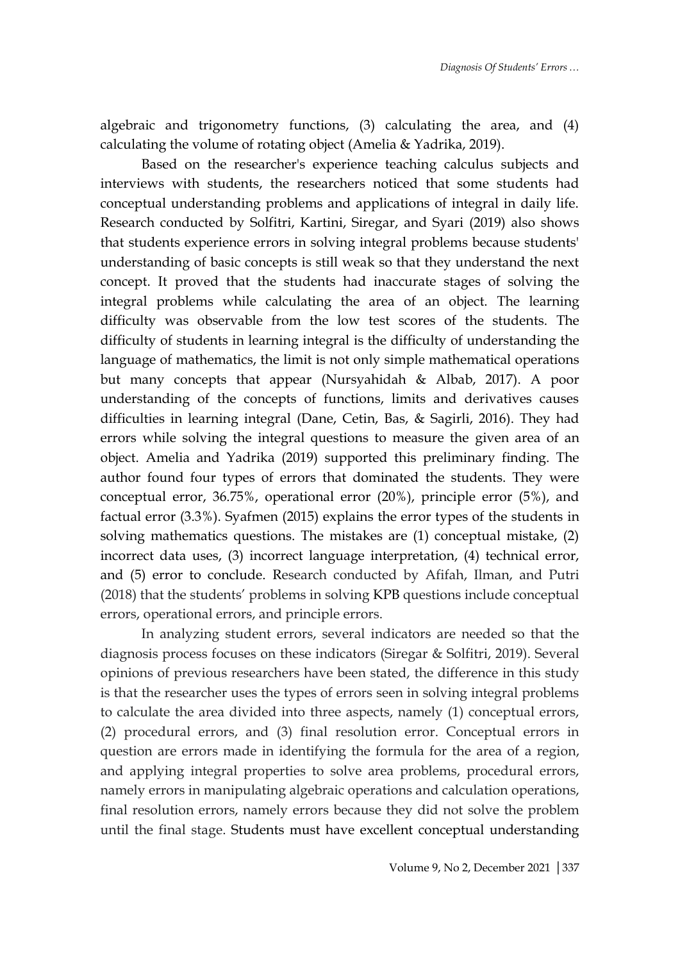algebraic and trigonometry functions, (3) calculating the area, and (4) calculating the volume of rotating object (Amelia & Yadrika, 2019).

Based on the researcher's experience teaching calculus subjects and interviews with students, the researchers noticed that some students had conceptual understanding problems and applications of integral in daily life. Research conducted by Solfitri, Kartini, Siregar, and Syari (2019) also shows that students experience errors in solving integral problems because students' understanding of basic concepts is still weak so that they understand the next concept. It proved that the students had inaccurate stages of solving the integral problems while calculating the area of an object. The learning difficulty was observable from the low test scores of the students. The difficulty of students in learning integral is the difficulty of understanding the language of mathematics, the limit is not only simple mathematical operations but many concepts that appear (Nursyahidah & Albab, 2017). A poor understanding of the concepts of functions, limits and derivatives causes difficulties in learning integral (Dane, Cetin, Bas, & Sagirli, 2016). They had errors while solving the integral questions to measure the given area of an object. Amelia and Yadrika (2019) supported this preliminary finding. The author found four types of errors that dominated the students. They were conceptual error, 36.75%, operational error (20%), principle error (5%), and factual error (3.3%). Syafmen (2015) explains the error types of the students in solving mathematics questions. The mistakes are (1) conceptual mistake, (2) incorrect data uses, (3) incorrect language interpretation, (4) technical error, and (5) error to conclude. Research conducted by Afifah, Ilman, and Putri (2018) that the students' problems in solving KPB questions include conceptual errors, operational errors, and principle errors.

In analyzing student errors, several indicators are needed so that the diagnosis process focuses on these indicators (Siregar & Solfitri, 2019). Several opinions of previous researchers have been stated, the difference in this study is that the researcher uses the types of errors seen in solving integral problems to calculate the area divided into three aspects, namely (1) conceptual errors, (2) procedural errors, and (3) final resolution error. Conceptual errors in question are errors made in identifying the formula for the area of a region, and applying integral properties to solve area problems, procedural errors, namely errors in manipulating algebraic operations and calculation operations, final resolution errors, namely errors because they did not solve the problem until the final stage. Students must have excellent conceptual understanding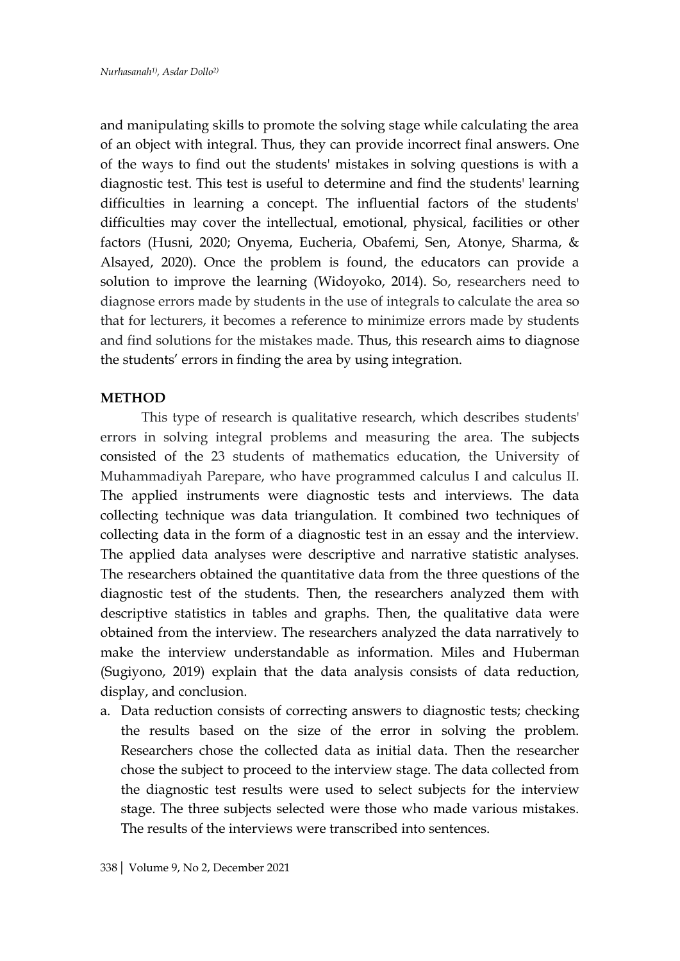and manipulating skills to promote the solving stage while calculating the area of an object with integral. Thus, they can provide incorrect final answers. One of the ways to find out the students' mistakes in solving questions is with a diagnostic test. This test is useful to determine and find the students' learning difficulties in learning a concept. The influential factors of the students' difficulties may cover the intellectual, emotional, physical, facilities or other factors (Husni, 2020; Onyema, Eucheria, Obafemi, Sen, Atonye, Sharma, & Alsayed, 2020). Once the problem is found, the educators can provide a solution to improve the learning (Widoyoko, 2014). So, researchers need to diagnose errors made by students in the use of integrals to calculate the area so that for lecturers, it becomes a reference to minimize errors made by students and find solutions for the mistakes made. Thus, this research aims to diagnose the students' errors in finding the area by using integration.

### **METHOD**

This type of research is qualitative research, which describes students' errors in solving integral problems and measuring the area. The subjects consisted of the 23 students of mathematics education, the University of Muhammadiyah Parepare, who have programmed calculus I and calculus II. The applied instruments were diagnostic tests and interviews. The data collecting technique was data triangulation. It combined two techniques of collecting data in the form of a diagnostic test in an essay and the interview. The applied data analyses were descriptive and narrative statistic analyses. The researchers obtained the quantitative data from the three questions of the diagnostic test of the students. Then, the researchers analyzed them with descriptive statistics in tables and graphs. Then, the qualitative data were obtained from the interview. The researchers analyzed the data narratively to make the interview understandable as information. Miles and Huberman (Sugiyono, 2019) explain that the data analysis consists of data reduction, display, and conclusion.

a. Data reduction consists of correcting answers to diagnostic tests; checking the results based on the size of the error in solving the problem. Researchers chose the collected data as initial data. Then the researcher chose the subject to proceed to the interview stage. The data collected from the diagnostic test results were used to select subjects for the interview stage. The three subjects selected were those who made various mistakes. The results of the interviews were transcribed into sentences.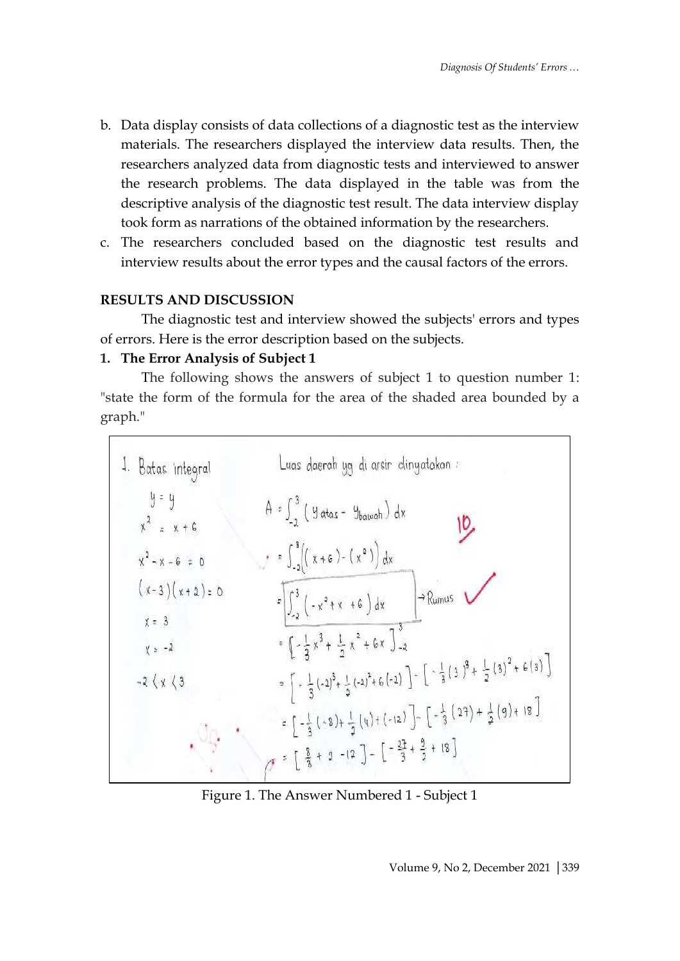- b. Data display consists of data collections of a diagnostic test as the interview materials. The researchers displayed the interview data results. Then, the researchers analyzed data from diagnostic tests and interviewed to answer the research problems. The data displayed in the table was from the descriptive analysis of the diagnostic test result. The data interview display took form as narrations of the obtained information by the researchers.
- c. The researchers concluded based on the diagnostic test results and interview results about the error types and the causal factors of the errors.

### **RESULTS AND DISCUSSION**

The diagnostic test and interview showed the subjects' errors and types of errors. Here is the error description based on the subjects.

### **1. The Error Analysis of Subject 1**

The following shows the answers of subject 1 to question number 1: "state the form of the formula for the area of the shaded area bounded by a graph."



Figure 1. The Answer Numbered 1 - Subject 1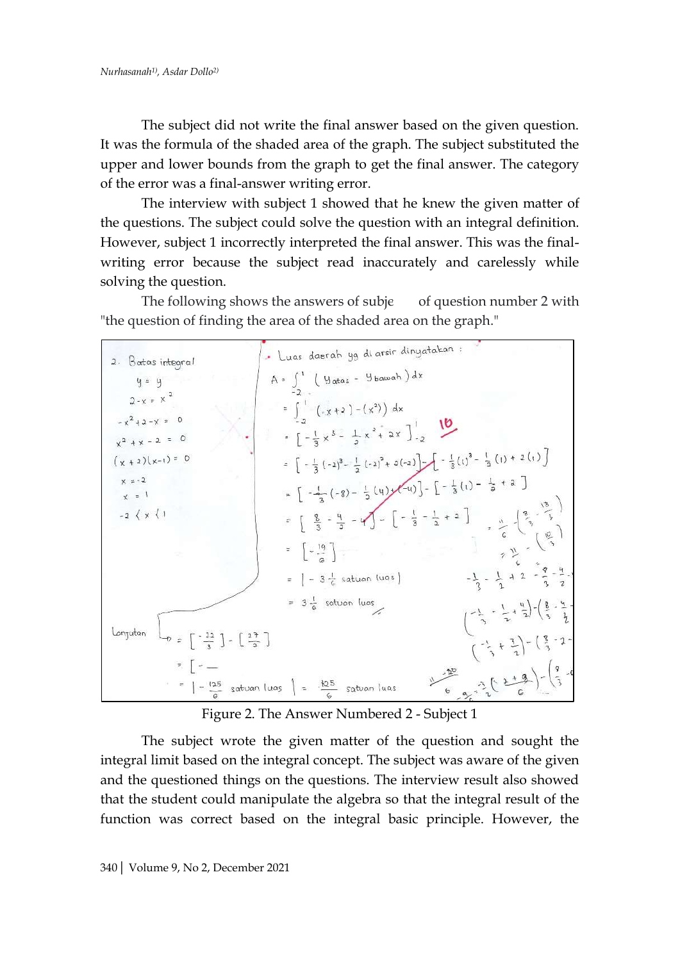The subject did not write the final answer based on the given question. It was the formula of the shaded area of the graph. The subject substituted the upper and lower bounds from the graph to get the final answer. The category of the error was a final-answer writing error.

The interview with subject 1 showed that he knew the given matter of the questions. The subject could solve the question with an integral definition. However, subject 1 incorrectly interpreted the final answer. This was the finalwriting error because the subject read inaccurately and carelessly while solving the question.

The following shows the answers of subje  $\qquad$  of question number 2 with "the question of finding the area of the shaded area on the graph."



Figure 2. The Answer Numbered 2 - Subject 1

The subject wrote the given matter of the question and sought the integral limit based on the integral concept. The subject was aware of the given and the questioned things on the questions. The interview result also showed that the student could manipulate the algebra so that the integral result of the function was correct based on the integral basic principle. However, the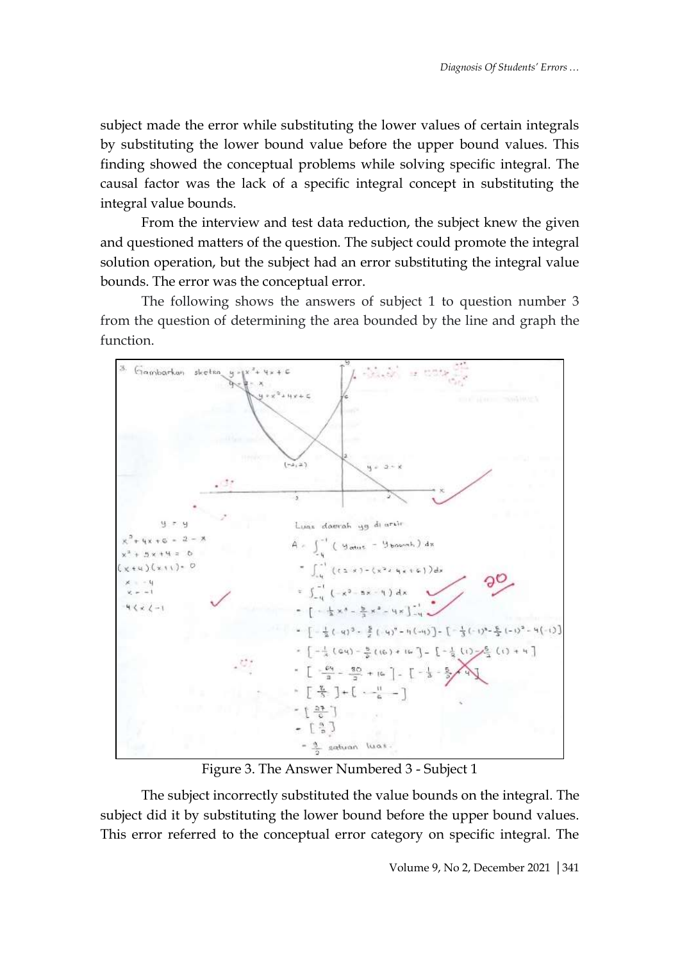subject made the error while substituting the lower values of certain integrals by substituting the lower bound value before the upper bound values. This finding showed the conceptual problems while solving specific integral. The causal factor was the lack of a specific integral concept in substituting the integral value bounds.

From the interview and test data reduction, the subject knew the given and questioned matters of the question. The subject could promote the integral solution operation, but the subject had an error substituting the integral value bounds. The error was the conceptual error.

The following shows the answers of subject 1 to question number 3 from the question of determining the area bounded by the line and graph the function.



Figure 3. The Answer Numbered 3 - Subject 1

The subject incorrectly substituted the value bounds on the integral. The subject did it by substituting the lower bound before the upper bound values. This error referred to the conceptual error category on specific integral. The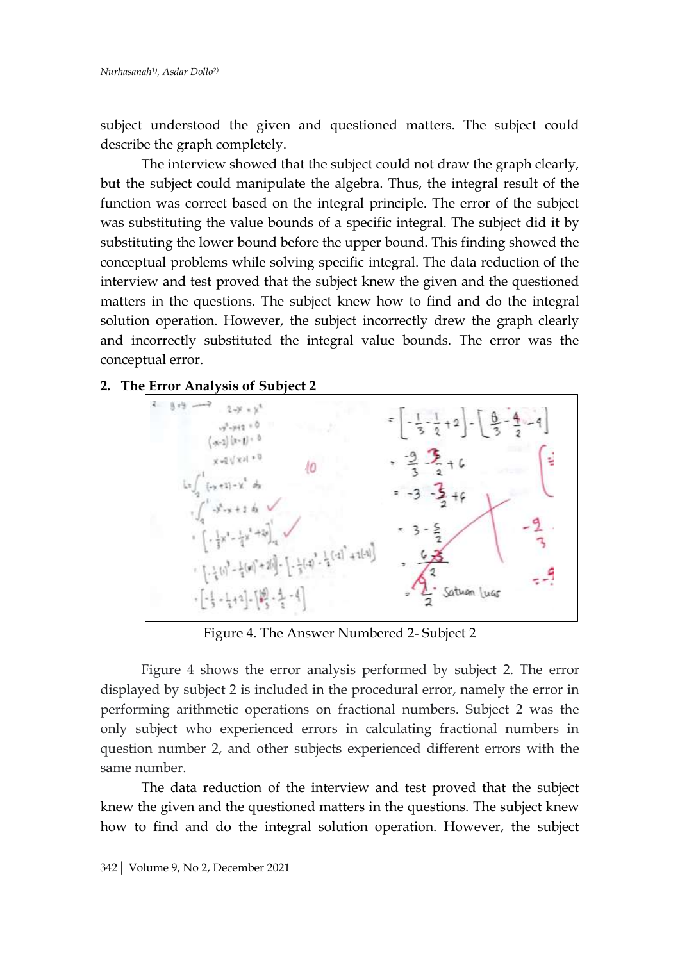subject understood the given and questioned matters. The subject could describe the graph completely.

The interview showed that the subject could not draw the graph clearly, but the subject could manipulate the algebra. Thus, the integral result of the function was correct based on the integral principle. The error of the subject was substituting the value bounds of a specific integral. The subject did it by substituting the lower bound before the upper bound. This finding showed the conceptual problems while solving specific integral. The data reduction of the interview and test proved that the subject knew the given and the questioned matters in the questions. The subject knew how to find and do the integral solution operation. However, the subject incorrectly drew the graph clearly and incorrectly substituted the integral value bounds. The error was the conceptual error.

### **2. The Error Analysis of Subject 2**



Figure 4. The Answer Numbered 2- Subject 2

Figure 4 shows the error analysis performed by subject 2. The error displayed by subject 2 is included in the procedural error, namely the error in performing arithmetic operations on fractional numbers. Subject 2 was the only subject who experienced errors in calculating fractional numbers in question number 2, and other subjects experienced different errors with the same number.

The data reduction of the interview and test proved that the subject knew the given and the questioned matters in the questions. The subject knew how to find and do the integral solution operation. However, the subject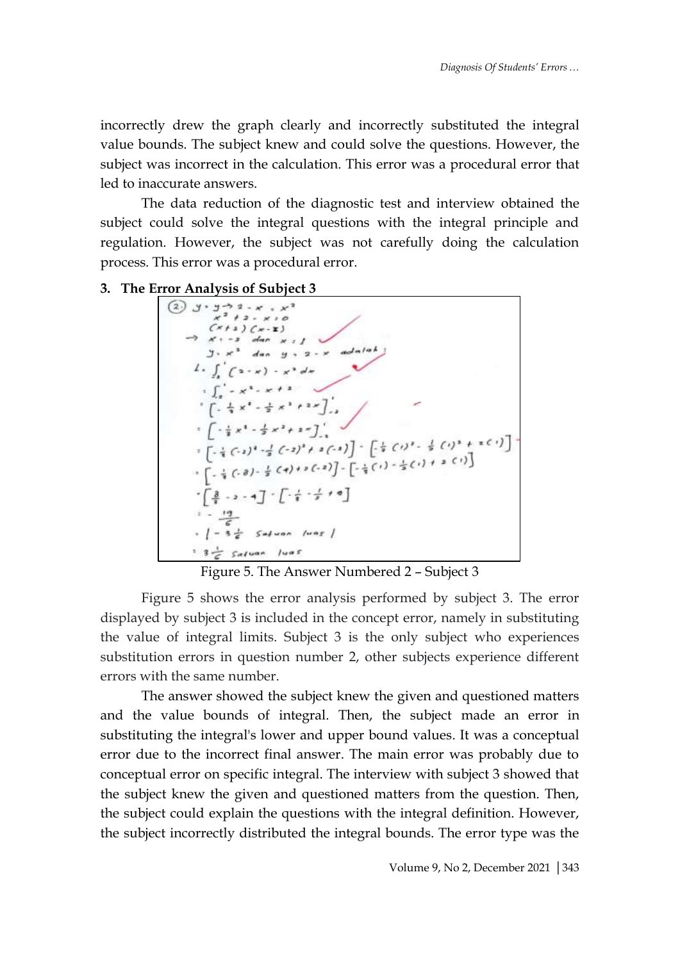incorrectly drew the graph clearly and incorrectly substituted the integral value bounds. The subject knew and could solve the questions. However, the subject was incorrect in the calculation. This error was a procedural error that led to inaccurate answers.

The data reduction of the diagnostic test and interview obtained the subject could solve the integral questions with the integral principle and regulation. However, the subject was not carefully doing the calculation process. This error was a procedural error.

3. The Error Analysis of Subject 3<br>  $\left[\begin{array}{c} \textcircled{3} \textcircled{3} \textcircled{3} \textcircled{3} \textcircled{3} \textcircled{3} \textcircled{3} \textcircled{3} \textcircled{3} \textcircled{3} \textcircled{3} \textcircled{3} \textcircled{3} \textcircled{3} \textcircled{3} \textcircled{3} \textcircled{3} \textcircled{3} \textcircled{3} \textcircled{3} \textcircled{3} \textcircled{3} \textcircled{3} \textcircled{4} \textcircled{4}$  $(x+2)(x-2)$ <br>  $x \rightarrow 3$  dan x : 1<br>  $3 \cdot x^2$  dan y : 2 - x adalah  $1. \int_{a}^{b} (2-x) - x^3 dx$  $\int_{a}^{1} -x^{3} dx + 1 dx$  $\left[ -\frac{1}{4}x_1 - \frac{3}{4}x_1 + \frac{1}{2}x_1 + \frac{1}{2}x_1 \right]$  $\int$   $\left(-\frac{1}{2}x^{3}+\frac{1}{2}x^{2}+2\pi\right)$ ,  $\begin{bmatrix} 1 & \frac{1}{2} & x^2 - \frac{1}{2} & x^3 + x^2 \end{bmatrix}$ <br>  $\begin{bmatrix} -\frac{1}{2} & (-x)^3 & -\frac{1}{2} & (-x)^2 + x^2(-x) \end{bmatrix}$   $\begin{bmatrix} -\frac{1}{2} & (-x)^2 & \frac{1}{2} & (-x)^3 + x^2(-x) \end{bmatrix}$ <br>  $\begin{bmatrix} -\frac{1}{2} & (-x)^2 - \frac{1}{2} & (-x)^2 + x^2(-x) \end{bmatrix}$   $\begin{bmatrix} -\frac{1}{2} & (-x)^2 & (-x)^2 - \frac{$  $\cdot \left[ \frac{3}{3} - 2 - 4 \right] \cdot \left[ \cdot \frac{7}{8} \cdot \frac{7}{8} + 2 \right]$  $\frac{1}{2}$  = 3 $\frac{1}{6}$  Salvon luas |  $: 3 -$  Salvan luas

Figure 5. The Answer Numbered 2 – Subject 3

Figure 5 shows the error analysis performed by subject 3. The error displayed by subject 3 is included in the concept error, namely in substituting the value of integral limits. Subject 3 is the only subject who experiences substitution errors in question number 2, other subjects experience different errors with the same number.

The answer showed the subject knew the given and questioned matters and the value bounds of integral. Then, the subject made an error in substituting the integral's lower and upper bound values. It was a conceptual error due to the incorrect final answer. The main error was probably due to conceptual error on specific integral. The interview with subject 3 showed that the subject knew the given and questioned matters from the question. Then, the subject could explain the questions with the integral definition. However, the subject incorrectly distributed the integral bounds. The error type was the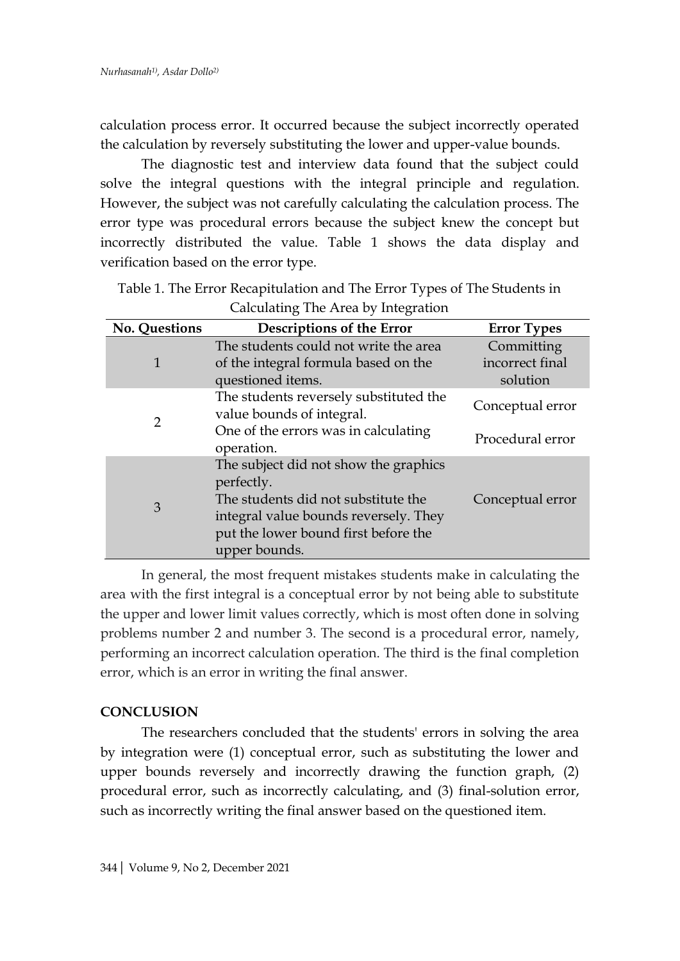calculation process error. It occurred because the subject incorrectly operated the calculation by reversely substituting the lower and upper-value bounds.

The diagnostic test and interview data found that the subject could solve the integral questions with the integral principle and regulation. However, the subject was not carefully calculating the calculation process. The error type was procedural errors because the subject knew the concept but incorrectly distributed the value. Table 1 shows the data display and verification based on the error type.

| <b>No. Questions</b> | Descriptions of the Error                                                                                                                                                                    | <b>Error Types</b> |
|----------------------|----------------------------------------------------------------------------------------------------------------------------------------------------------------------------------------------|--------------------|
| 1                    | The students could not write the area                                                                                                                                                        | Committing         |
|                      | of the integral formula based on the                                                                                                                                                         | incorrect final    |
|                      | questioned items.                                                                                                                                                                            | solution           |
| $\overline{2}$       | The students reversely substituted the<br>value bounds of integral.                                                                                                                          | Conceptual error   |
|                      | One of the errors was in calculating<br>operation.                                                                                                                                           | Procedural error   |
| 3                    | The subject did not show the graphics<br>perfectly.<br>The students did not substitute the<br>integral value bounds reversely. They<br>put the lower bound first before the<br>upper bounds. | Conceptual error   |

Table 1. The Error Recapitulation and The Error Types of The Students in Calculating The Area by Integration

In general, the most frequent mistakes students make in calculating the area with the first integral is a conceptual error by not being able to substitute the upper and lower limit values correctly, which is most often done in solving problems number 2 and number 3. The second is a procedural error, namely, performing an incorrect calculation operation. The third is the final completion error, which is an error in writing the final answer.

#### **CONCLUSION**

The researchers concluded that the students' errors in solving the area by integration were (1) conceptual error, such as substituting the lower and upper bounds reversely and incorrectly drawing the function graph, (2) procedural error, such as incorrectly calculating, and (3) final-solution error, such as incorrectly writing the final answer based on the questioned item.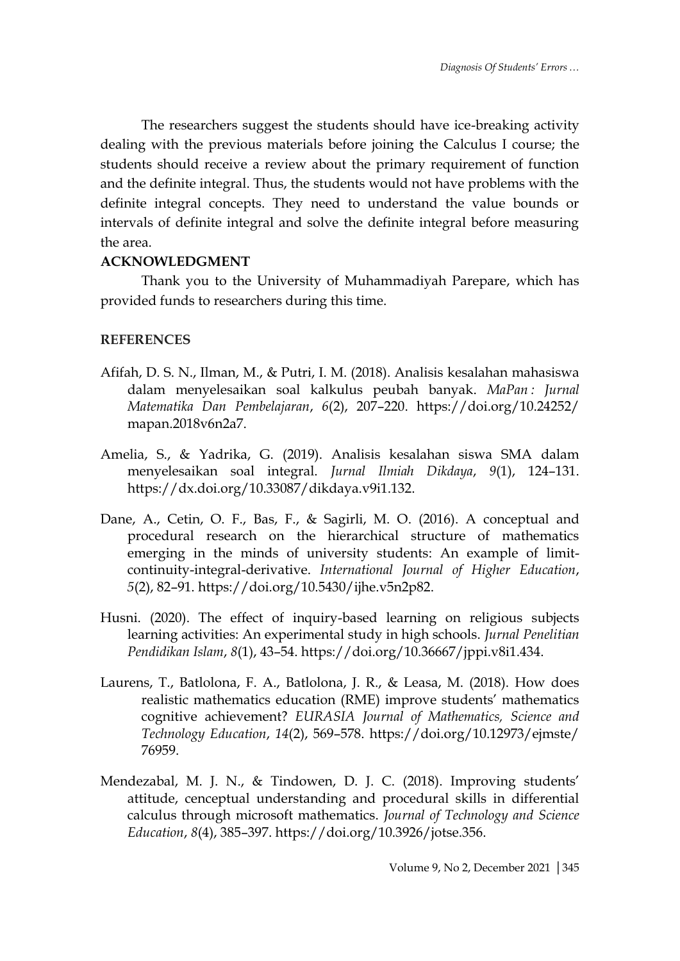The researchers suggest the students should have ice-breaking activity dealing with the previous materials before joining the Calculus I course; the students should receive a review about the primary requirement of function and the definite integral. Thus, the students would not have problems with the definite integral concepts. They need to understand the value bounds or intervals of definite integral and solve the definite integral before measuring the area.

## **ACKNOWLEDGMENT**

Thank you to the University of Muhammadiyah Parepare, which has provided funds to researchers during this time.

## **REFERENCES**

- Afifah, D. S. N., Ilman, M., & Putri, I. M. (2018). Analisis kesalahan mahasiswa dalam menyelesaikan soal kalkulus peubah banyak. *MaPan : Jurnal Matematika Dan Pembelajaran*, *6*(2), 207–220. https://doi.org/10.24252/ mapan.2018v6n2a7.
- Amelia, S., & Yadrika, G. (2019). Analisis kesalahan siswa SMA dalam menyelesaikan soal integral. *Jurnal Ilmiah Dikdaya*, *9*(1), 124–131. https://dx.doi.org/10.33087/dikdaya.v9i1.132.
- Dane, A., Cetin, O. F., Bas, F., & Sagirli, M. O. (2016). A conceptual and procedural research on the hierarchical structure of mathematics emerging in the minds of university students: An example of limitcontinuity-integral-derivative. *International Journal of Higher Education*, *5*(2), 82–91. https://doi.org/10.5430/ijhe.v5n2p82.
- Husni. (2020). The effect of inquiry-based learning on religious subjects learning activities: An experimental study in high schools. *Jurnal Penelitian Pendidikan Islam*, *8*(1), 43–54. https://doi.org/10.36667/jppi.v8i1.434.
- Laurens, T., Batlolona, F. A., Batlolona, J. R., & Leasa, M. (2018). How does realistic mathematics education (RME) improve students' mathematics cognitive achievement? *EURASIA Journal of Mathematics, Science and Technology Education*, *14*(2), 569–578. https://doi.org/10.12973/ejmste/ 76959.
- Mendezabal, M. J. N., & Tindowen, D. J. C. (2018). Improving students' attitude, cenceptual understanding and procedural skills in differential calculus through microsoft mathematics. *Journal of Technology and Science Education*, *8*(4), 385–397. https://doi.org/10.3926/jotse.356.